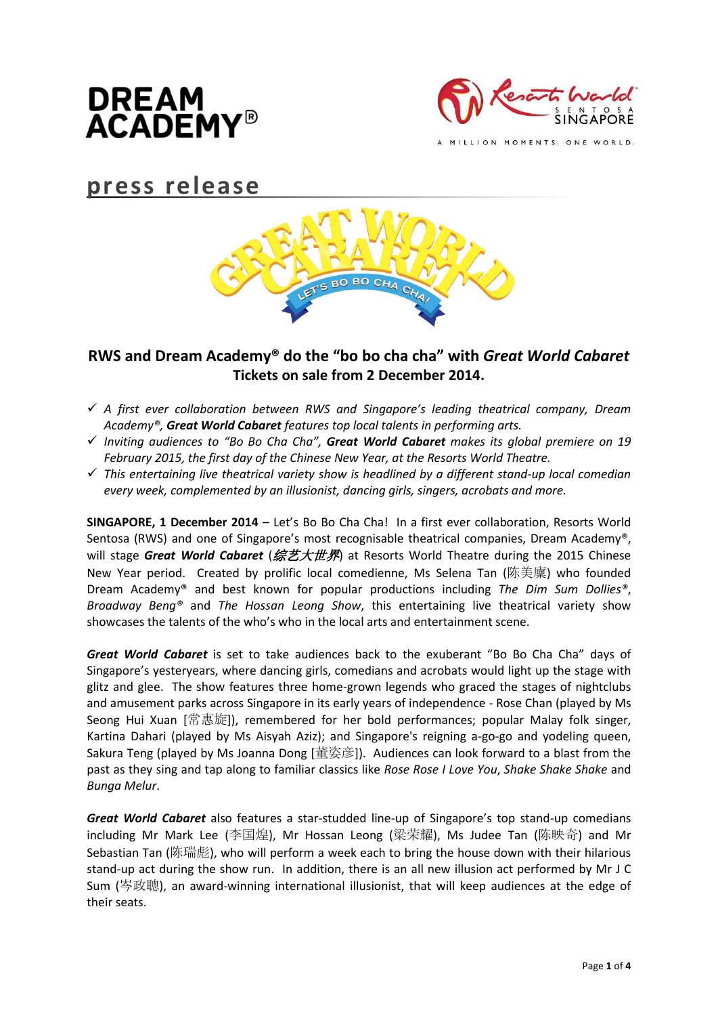



MILLION MOMENTS. ONE WORLD.

# **press release**



# **RWS and Dream Academy® do the "bo bo cha cha" with** *Great World Cabaret* **Tickets on sale from 2 December 2014.**

- *A first ever collaboration between RWS and Singapore's leading theatrical company, Dream Academy®, Great World Cabaret features top local talents in performing arts.*
- *Inviting audiences to "Bo Bo Cha Cha", Great World Cabaret makes its global premiere on 19 February 2015, the first day of the Chinese New Year, at the Resorts World Theatre.*
- *This entertaining live theatrical variety show is headlined by a different stand-up local comedian every week, complemented by an illusionist, dancing girls, singers, acrobats and more.*

**SINGAPORE, 1 December 2014** – Let's Bo Bo Cha Cha! In a first ever collaboration, Resorts World Sentosa (RWS) and one of Singapore's most recognisable theatrical companies, Dream Academy®, will stage *Great World Cabaret* (综艺大世界) at Resorts World Theatre during the 2015 Chinese New Year period. Created by prolific local comedienne, Ms Selena Tan (陈美廩) who founded Dream Academy® and best known for popular productions including *The Dim Sum Dollies®*, *Broadway Beng®* and *The Hossan Leong Show*, this entertaining live theatrical variety show showcases the talents of the who's who in the local arts and entertainment scene.

*Great World Cabaret* is set to take audiences back to the exuberant "Bo Bo Cha Cha" days of Singapore's yesteryears, where dancing girls, comedians and acrobats would light up the stage with glitz and glee. The show features three home-grown legends who graced the stages of nightclubs and amusement parks across Singapore in its early years of independence - Rose Chan (played by Ms Seong Hui Xuan [常惠旋]), remembered for her bold performances; popular Malay folk singer, Kartina Dahari (played by Ms Aisyah Aziz); and Singapore's reigning a-go-go and yodeling queen, Sakura Teng (played by Ms Joanna Dong [董姿彦]). Audiences can look forward to a blast from the past as they sing and tap along to familiar classics like *Rose Rose I Love You*, *Shake Shake Shake* and *Bunga Melur*.

*Great World Cabaret* also features a star-studded line-up of Singapore's top stand-up comedians including Mr Mark Lee (李国煌), Mr Hossan Leong (梁荣耀), Ms Judee Tan (陈映奇) and Mr Sebastian Tan (陈瑞彪), who will perform a week each to bring the house down with their hilarious stand-up act during the show run. In addition, there is an all new illusion act performed by Mr J C Sum (岑政聰), an award-winning international illusionist, that will keep audiences at the edge of their seats.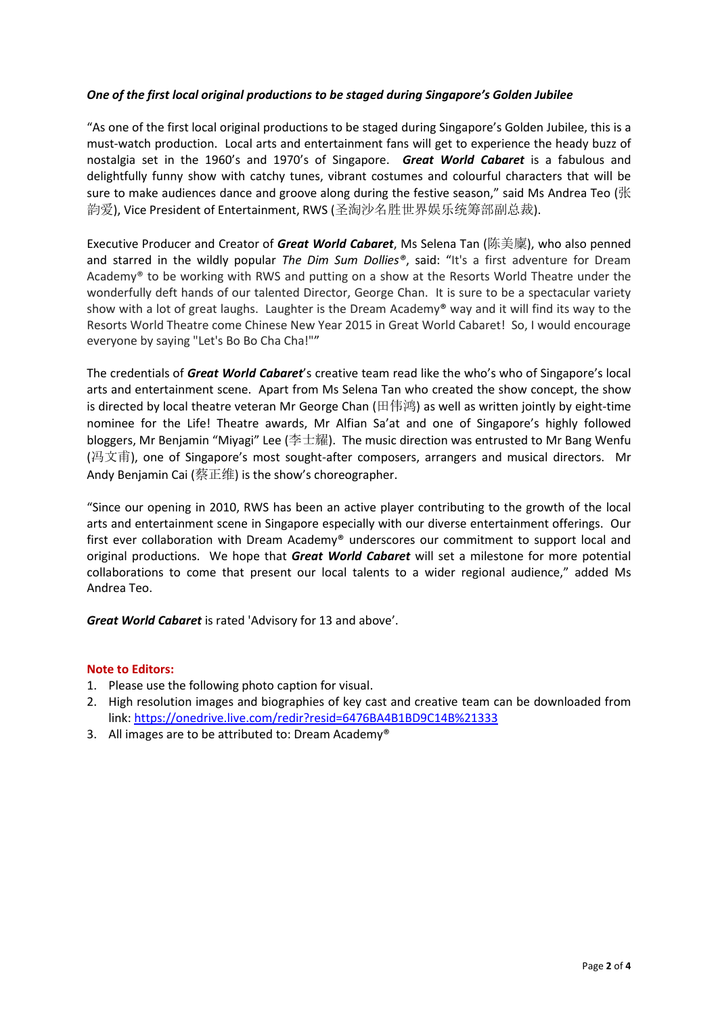# *One of the first local original productions to be staged during Singapore's Golden Jubilee*

"As one of the first local original productions to be staged during Singapore's Golden Jubilee, this is a must-watch production. Local arts and entertainment fans will get to experience the heady buzz of nostalgia set in the 1960's and 1970's of Singapore. *Great World Cabaret* is a fabulous and delightfully funny show with catchy tunes, vibrant costumes and colourful characters that will be sure to make audiences dance and groove along during the festive season," said Ms Andrea Teo ( $\mathbb K$ 韵爱), Vice President of Entertainment, RWS (圣淘沙名胜世界娱乐统筹部副总裁).

Executive Producer and Creator of *Great World Cabaret*, Ms Selena Tan (陈美廩), who also penned and starred in the wildly popular *The Dim Sum Dollies®*, said: "It's a first adventure for Dream Academy® to be working with RWS and putting on a show at the Resorts World Theatre under the wonderfully deft hands of our talented Director, George Chan. It is sure to be a spectacular variety show with a lot of great laughs. Laughter is the Dream Academy® way and it will find its way to the Resorts World Theatre come Chinese New Year 2015 in Great World Cabaret! So, I would encourage everyone by saying "Let's Bo Bo Cha Cha!""

The credentials of *Great World Cabaret*'s creative team read like the who's who of Singapore's local arts and entertainment scene. Apart from Ms Selena Tan who created the show concept, the show is directed by local theatre veteran Mr George Chan (田伟鸿) as well as written jointly by eight-time nominee for the Life! Theatre awards, Mr Alfian Sa'at and one of Singapore's highly followed bloggers, Mr Benjamin "Miyagi" Lee (李士耀). The music direction was entrusted to Mr Bang Wenfu (冯文甫), one of Singapore's most sought-after composers, arrangers and musical directors. Mr Andy Benjamin Cai (蔡正维) is the show's choreographer.

"Since our opening in 2010, RWS has been an active player contributing to the growth of the local arts and entertainment scene in Singapore especially with our diverse entertainment offerings. Our first ever collaboration with Dream Academy® underscores our commitment to support local and original productions. We hope that *Great World Cabaret* will set a milestone for more potential collaborations to come that present our local talents to a wider regional audience," added Ms Andrea Teo.

*Great World Cabaret* is rated 'Advisory for 13 and above'.

# **Note to Editors:**

- 1. Please use the following photo caption for visual.
- 2. High resolution images and biographies of key cast and creative team can be downloaded from link: <https://onedrive.live.com/redir?resid=6476BA4B1BD9C14B%21333>
- 3. All images are to be attributed to: Dream Academy®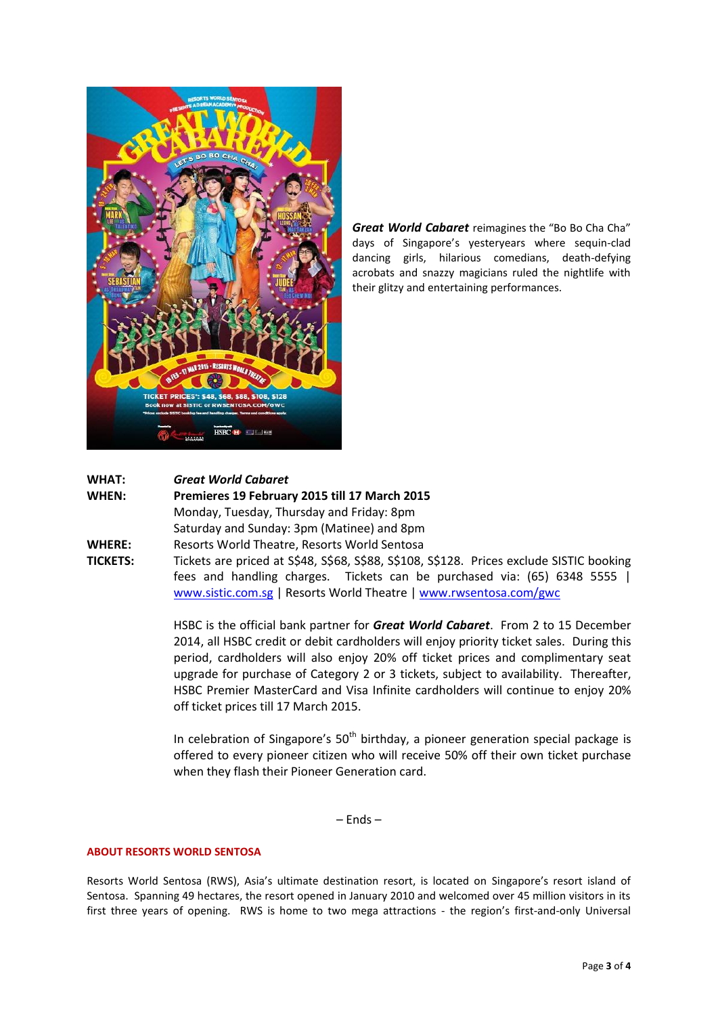

*Great World Cabaret* reimagines the "Bo Bo Cha Cha" days of Singapore's yesteryears where sequin-clad dancing girls, hilarious comedians, death-defying acrobats and snazzy magicians ruled the nightlife with their glitzy and entertaining performances.

# **WHAT:** *Great World Cabaret*

**WHEN: Premieres 19 February 2015 till 17 March 2015** Monday, Tuesday, Thursday and Friday: 8pm Saturday and Sunday: 3pm (Matinee) and 8pm **WHERE:** Resorts World Theatre, Resorts World Sentosa

**TICKETS:** Tickets are priced at S\$48, S\$68, S\$88, S\$108, S\$128. Prices exclude SISTIC booking fees and handling charges. Tickets can be purchased via: (65) 6348 5555 | [www.sistic.com.sg](http://www.sistic.com.sg/) | Resorts World Theatre [| www.rwsentosa.com/gwc](http://www.rwsentosa.com/gwc)

> HSBC is the official bank partner for *Great World Cabaret*. From 2 to 15 December 2014, all HSBC credit or debit cardholders will enjoy priority ticket sales. During this period, cardholders will also enjoy 20% off ticket prices and complimentary seat upgrade for purchase of Category 2 or 3 tickets, subject to availability. Thereafter, HSBC Premier MasterCard and Visa Infinite cardholders will continue to enjoy 20% off ticket prices till 17 March 2015.

> In celebration of Singapore's  $50<sup>th</sup>$  birthday, a pioneer generation special package is offered to every pioneer citizen who will receive 50% off their own ticket purchase when they flash their Pioneer Generation card.

> > – Ends –

### **ABOUT RESORTS WORLD SENTOSA**

Resorts World Sentosa (RWS), Asia's ultimate destination resort, is located on Singapore's resort island of Sentosa. Spanning 49 hectares, the resort opened in January 2010 and welcomed over 45 million visitors in its first three years of opening. RWS is home to two mega attractions - the region's first-and-only Universal